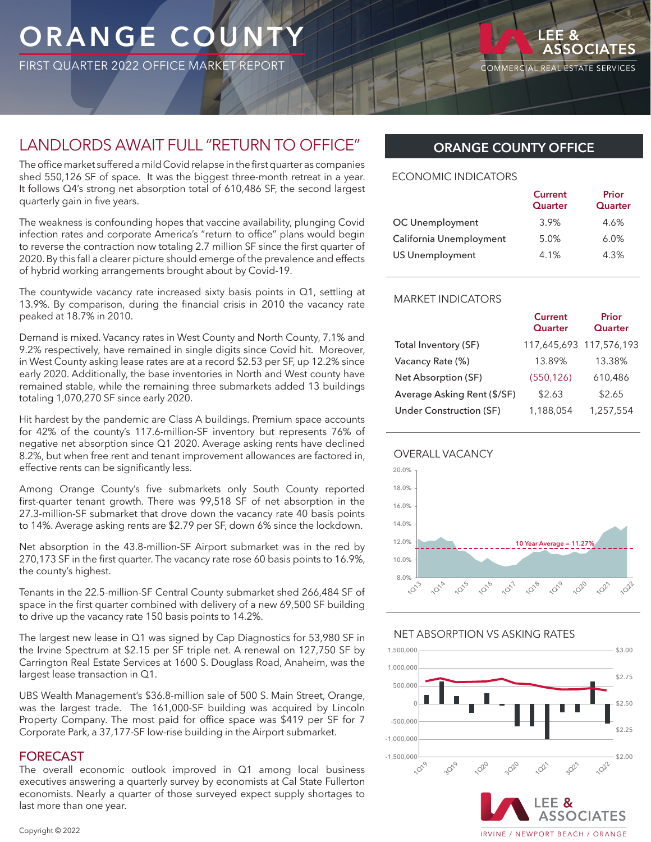## **ORANGE COUNT**

FIRST QUARTER 2022 OFFICE MARKET REPORT

COMMERCIAL REAL ESTATE SERVICES

## LANDLORDS AWAIT FULL "RETURN TO OFFICE"

The office market suffered a mild Covid relapse in the first quarter as companies shed 550,126 SF of space. It was the biggest three-month retreat in a year. It follows Q4's strong net absorption total of 610,486 SF, the second largest quarterly gain in five years.

The weakness is confounding hopes that vaccine availability, plunging Covid infection rates and corporate America's "return to office" plans would begin to reverse the contraction now totaling 2.7 million SF since the first quarter of 2020. By this fall a clearer picture should emerge of the prevalence and effects of hybrid working arrangements brought about by Covid-19.

The countywide vacancy rate increased sixty basis points in Q1, settling at 13.9%. By comparison, during the financial crisis in 2010 the vacancy rate peaked at 18.7% in 2010.

Demand is mixed. Vacancy rates in West County and North County, 7.1% and 9.2% respectively, have remained in single digits since Covid hit. Moreover, in West County asking lease rates are at a record \$2.53 per SF, up 12.2% since early 2020. Additionally, the base inventories in North and West county have remained stable, while the remaining three submarkets added 13 buildings totaling 1,070,270 SF since early 2020.

Hit hardest by the pandemic are Class A buildings. Premium space accounts for 42% of the county's 117.6-million-SF inventory but represents 76% of negative net absorption since Q1 2020. Average asking rents have declined 8.2%, but when free rent and tenant improvement allowances are factored in, effective rents can be significantly less.

Among Orange County's five submarkets only South County reported first-quarter tenant growth. There was 99,518 SF of net absorption in the 27.3-million-SF submarket that drove down the vacancy rate 40 basis points to 14%. Average asking rents are \$2.79 per SF, down 6% since the lockdown.

Net absorption in the 43.8-million-SF Airport submarket was in the red by 270,173 SF in the first quarter. The vacancy rate rose 60 basis points to 16.9%, the county's highest.

Tenants in the 22.5-million-SF Central County submarket shed 266,484 SF of space in the first quarter combined with delivery of a new 69,500 SF building to drive up the vacancy rate 150 basis points to 14.2%.

The largest new lease in Q1 was signed by Cap Diagnostics for 53,980 SF in the Irvine Spectrum at \$2.15 per SF triple net. A renewal on 127,750 SF by Carrington Real Estate Services at 1600 S. Douglass Road, Anaheim, was the largest lease transaction in Q1.

UBS Wealth Management's \$36.8-million sale of 500 S. Main Street, Orange, was the largest trade. The 161,000-SF building was acquired by Lincoln Property Company. The most paid for office space was \$419 per SF for 7 Corporate Park, a 37,177-SF low-rise building in the Airport submarket.

#### FORECAST

The overall economic outlook improved in Q1 among local business executives answering a quarterly survey by economists at Cal State Fullerton economists. Nearly a quarter of those surveyed expect supply shortages to last more than one year.

## **ORANGE COUNTY OFFICE**

#### ECONOMIC INDICATORS

|                         | <b>Current</b><br>Quarter | Prior<br>Quarter |
|-------------------------|---------------------------|------------------|
| OC Unemployment         | 3.9%                      | 4.6%             |
| California Unemployment | 5.0%                      | 6.0%             |
| <b>US Unemployment</b>  | 4.1%                      | 4.3%             |

#### MARKET INDICATORS

|                             | <b>Current</b><br>Quarter | Prior<br>Quarter        |
|-----------------------------|---------------------------|-------------------------|
| Total Inventory (SF)        |                           | 117,645,693 117,576,193 |
| Vacancy Rate (%)            | 13.89%                    | 13.38%                  |
| Net Absorption (SF)         | (550, 126)                | 610,486                 |
| Average Asking Rent (\$/SF) | \$2.63                    | \$2.65                  |
| Under Construction (SF)     | 1,188,054                 | 1,257,554               |





#### NET ABSORPTION VS ASKING RATES